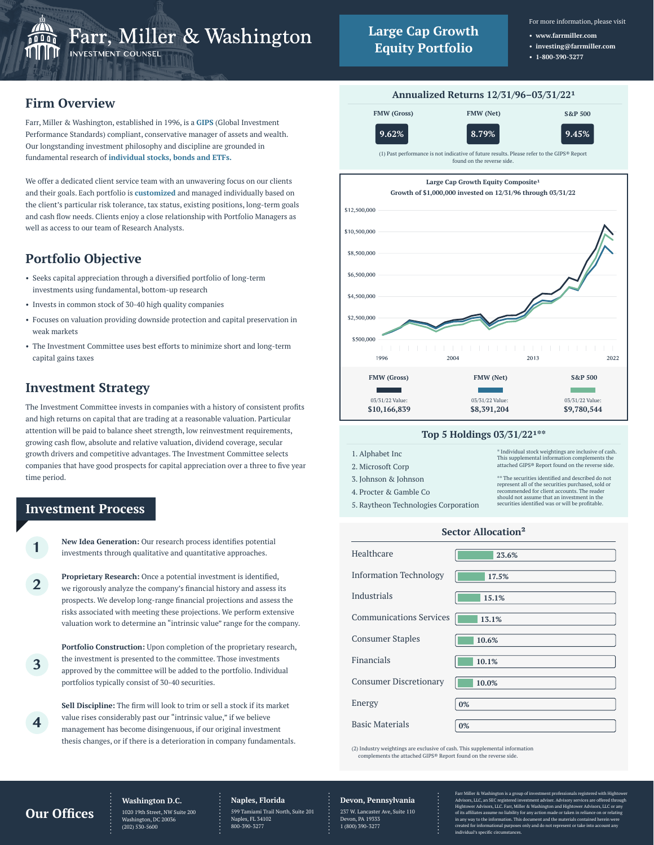

- **www.farrmiller.com • investing@farrmiller.com**
- **1-800-390-3277**

# **Firm Overview**

Farr, Miller & Washington, established in 1996, is a **GIPS** (Global Investment Performance Standards) compliant, conservative manager of assets and wealth. Our longstanding investment philosophy and discipline are grounded in fundamental research of **individual stocks, bonds and ETFs.**

We offer a dedicated client service team with an unwavering focus on our clients and their goals. Each portfolio is **customized** and managed individually based on the client's particular risk tolerance, tax status, existing positions, long-term goals and cash flow needs. Clients enjoy a close relationship with Portfolio Managers as well as access to our team of Research Analysts.

# **Portfolio Objective**

- Seeks capital appreciation through a diversified portfolio of long-term investments using fundamental, bottom-up research
- Invests in common stock of 30-40 high quality companies
- Focuses on valuation providing downside protection and capital preservation in weak markets
- The Investment Committee uses best efforts to minimize short and long-term capital gains taxes

# **Investment Strategy**

The Investment Committee invests in companies with a history of consistent profits and high returns on capital that are trading at a reasonable valuation. Particular attention will be paid to balance sheet strength, low reinvestment requirements, growing cash flow, absolute and relative valuation, dividend coverage, secular growth drivers and competitive advantages. The Investment Committee selects companies that have good prospects for capital appreciation over a three to five year time period.

### **Investment Process**

**1**

**2**

**3**

**4**

**New Idea Generation:** Our research process identifies potential investments through qualitative and quantitative approaches.

**Proprietary Research:** Once a potential investment is identified, we rigorously analyze the company's financial history and assess its prospects. We develop long-range financial projections and assess the risks associated with meeting these projections. We perform extensive valuation work to determine an "intrinsic value" range for the company.

**Portfolio Construction:** Upon completion of the proprietary research, the investment is presented to the committee. Those investments approved by the committee will be added to the portfolio. Individual portfolios typically consist of 30-40 securities.

**Sell Discipline:** The firm will look to trim or sell a stock if its market value rises considerably past our "intrinsic value," if we believe management has become disingenuous, if our original investment thesis changes, or if there is a deterioration in company fundamentals.



#### **Top 5 Holdings 03/31/22\*\***

| 1. Alphabet Inc                      | * Individual stock weightings are inclusive of cash.<br>This supplemental information complements the   |  |  |  |
|--------------------------------------|---------------------------------------------------------------------------------------------------------|--|--|--|
| 2. Microsoft Corp                    | attached GIPS® Report found on the reverse side.                                                        |  |  |  |
| 3. Johnson & Johnson                 | ** The securities identified and described do not<br>represent all of the securities purchased, sold or |  |  |  |
| 4. Procter & Gamble Co               | recommended for client accounts. The reader<br>should not assume that an investment in the              |  |  |  |
| 5. Raytheon Technologies Corporation | securities identified was or will be profitable.                                                        |  |  |  |

| Sector Allocation <sup>2</sup> |       |  |  |  |  |
|--------------------------------|-------|--|--|--|--|
| Healthcare                     | 23.6% |  |  |  |  |
| <b>Information Technology</b>  | 17.5% |  |  |  |  |
| Industrials                    | 15.1% |  |  |  |  |
| <b>Communications Services</b> | 13.1% |  |  |  |  |
| <b>Consumer Staples</b>        | 10.6% |  |  |  |  |
| Financials                     | 10.1% |  |  |  |  |
| <b>Consumer Discretionary</b>  | 10.0% |  |  |  |  |
| Energy                         | 0%    |  |  |  |  |
| <b>Basic Materials</b>         | 0%    |  |  |  |  |

(2) Industry weightings are exclusive of cash. This supplemental information complements the attached GIPS® Report found on the reverse side.

## **Our Offices**

#### **Washington D.C.**

1020 19th Street, NW Suite 200 gton, DC<br>0 (202) 530-5600

#### **Naples, Florida** 599 Tamiami Trail North, Suite 201 Naples, FL 34102 800-390-3277

**Devon, Pennsylvania**

Devon, PA 19333 1 (800) 390-3277

237 W. Lancaster Ave, Suite 110

Farr Miller & Washington is a group of investment professionals registered with Hightower Advisors, LLC, an SEC registered investment adviser. Advisory services are offered through Hightower Advisors, LLC. Farr, Miller & Washington and Hightower Advisors, LLC or any of its affiliates assume no liability for any action made or taken in reliance on<br>in any way to the information. This document and the materials contained he .<br>Int and the mat ted for informational purposes only and do not repr individual's specific circumstances.